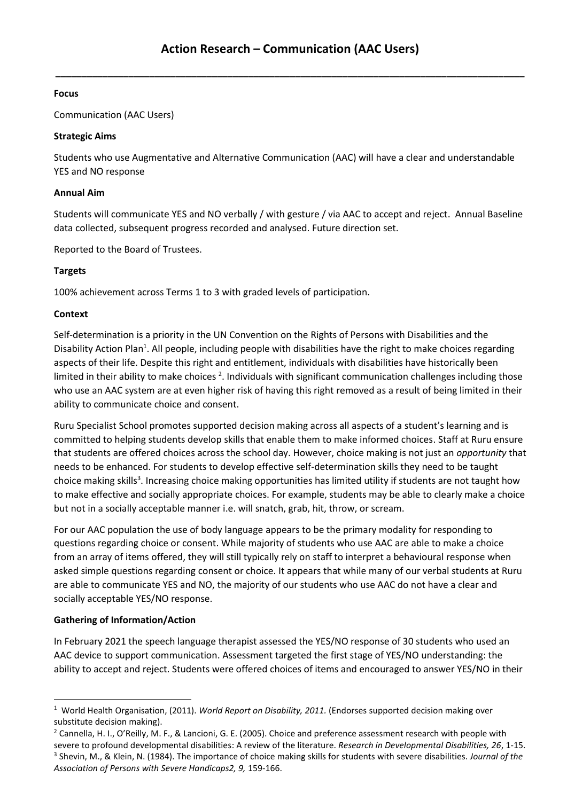**\_\_\_\_\_\_\_\_\_\_\_\_\_\_\_\_\_\_\_\_\_\_\_\_\_\_\_\_\_\_\_\_\_\_\_\_\_\_\_\_\_\_\_\_\_\_\_\_\_\_\_\_\_\_\_\_\_\_\_\_\_\_\_\_\_\_\_\_\_\_\_\_\_\_\_\_\_\_\_\_\_\_\_\_\_\_\_\_\_\_**

# **Focus**

Communication (AAC Users)

## **Strategic Aims**

Students who use Augmentative and Alternative Communication (AAC) will have a clear and understandable YES and NO response

#### **Annual Aim**

Students will communicate YES and NO verbally / with gesture / via AAC to accept and reject. Annual Baseline data collected, subsequent progress recorded and analysed. Future direction set.

Reported to the Board of Trustees.

# **Targets**

100% achievement across Terms 1 to 3 with graded levels of participation.

# **Context**

Self-determination is a priority in the UN Convention on the Rights of Persons with Disabilities and the Disability Action Plan<sup>1</sup>. All people, including people with disabilities have the right to make choices regarding aspects of their life. Despite this right and entitlement, individuals with disabilities have historically been limited in their ability to make choices<sup>2</sup>. Individuals with significant communication challenges including those who use an AAC system are at even higher risk of having this right removed as a result of being limited in their ability to communicate choice and consent.

Ruru Specialist School promotes supported decision making across all aspects of a student's learning and is committed to helping students develop skills that enable them to make informed choices. Staff at Ruru ensure that students are offered choices across the school day. However, choice making is not just an *opportunity* that needs to be enhanced. For students to develop effective self-determination skills they need to be taught choice making skills<sup>3</sup>. Increasing choice making opportunities has limited utility if students are not taught how to make effective and socially appropriate choices. For example, students may be able to clearly make a choice but not in a socially acceptable manner i.e. will snatch, grab, hit, throw, or scream.

For our AAC population the use of body language appears to be the primary modality for responding to questions regarding choice or consent. While majority of students who use AAC are able to make a choice from an array of items offered, they will still typically rely on staff to interpret a behavioural response when asked simple questions regarding consent or choice. It appears that while many of our verbal students at Ruru are able to communicate YES and NO, the majority of our students who use AAC do not have a clear and socially acceptable YES/NO response.

# **Gathering of Information/Action**

In February 2021 the speech language therapist assessed the YES/NO response of 30 students who used an AAC device to support communication. Assessment targeted the first stage of YES/NO understanding: the ability to accept and reject. Students were offered choices of items and encouraged to answer YES/NO in their

<sup>&</sup>lt;sup>1</sup> World Health Organisation, (2011). *World Report on Disability, 2011.* (Endorses supported decision making over substitute decision making).

<sup>&</sup>lt;sup>2</sup> Cannella, H. I., O'Reilly, M. F., & Lancioni, G. E. (2005). Choice and preference assessment research with people with severe to profound developmental disabilities: A review of the literature. *Research in Developmental Disabilities, 26*, 1-15. 3 Shevin, M., & Klein, N. (1984). The importance of choice making skills for students with severe disabilities. *Journal of the Association of Persons with Severe Handicaps2, 9,* 159-166.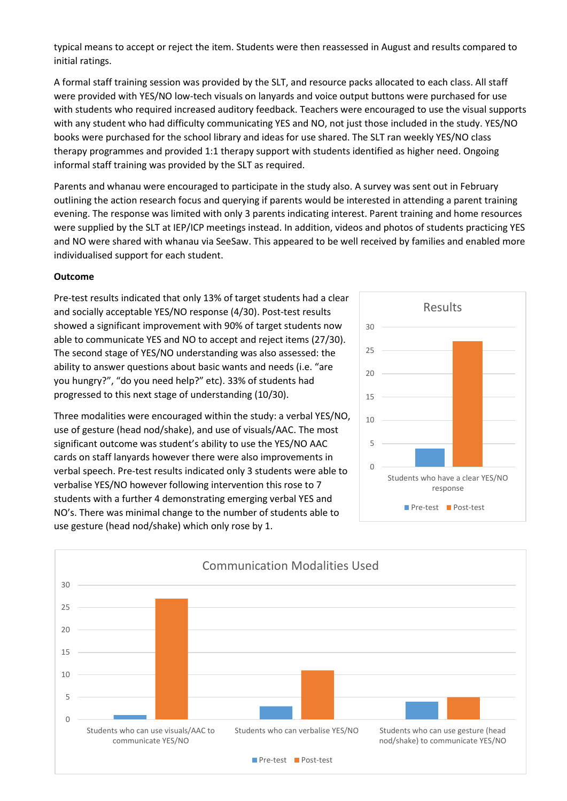typical means to accept or reject the item. Students were then reassessed in August and results compared to initial ratings.

A formal staff training session was provided by the SLT, and resource packs allocated to each class. All staff were provided with YES/NO low-tech visuals on lanyards and voice output buttons were purchased for use with students who required increased auditory feedback. Teachers were encouraged to use the visual supports with any student who had difficulty communicating YES and NO, not just those included in the study. YES/NO books were purchased for the school library and ideas for use shared. The SLT ran weekly YES/NO class therapy programmes and provided 1:1 therapy support with students identified as higher need. Ongoing informal staff training was provided by the SLT as required.

Parents and whanau were encouraged to participate in the study also. A survey was sent out in February outlining the action research focus and querying if parents would be interested in attending a parent training evening. The response was limited with only 3 parents indicating interest. Parent training and home resources were supplied by the SLT at IEP/ICP meetings instead. In addition, videos and photos of students practicing YES and NO were shared with whanau via SeeSaw. This appeared to be well received by families and enabled more individualised support for each student.

#### **Outcome**

Pre-test results indicated that only 13% of target students had a clear and socially acceptable YES/NO response (4/30). Post-test results showed a significant improvement with 90% of target students now able to communicate YES and NO to accept and reject items (27/30). The second stage of YES/NO understanding was also assessed: the ability to answer questions about basic wants and needs (i.e. "are you hungry?", "do you need help?" etc). 33% of students had progressed to this next stage of understanding (10/30).

Three modalities were encouraged within the study: a verbal YES/NO, use of gesture (head nod/shake), and use of visuals/AAC. The most significant outcome was student's ability to use the YES/NO AAC cards on staff lanyards however there were also improvements in verbal speech. Pre-test results indicated only 3 students were able to verbalise YES/NO however following intervention this rose to 7 students with a further 4 demonstrating emerging verbal YES and NO's. There was minimal change to the number of students able to use gesture (head nod/shake) which only rose by 1.



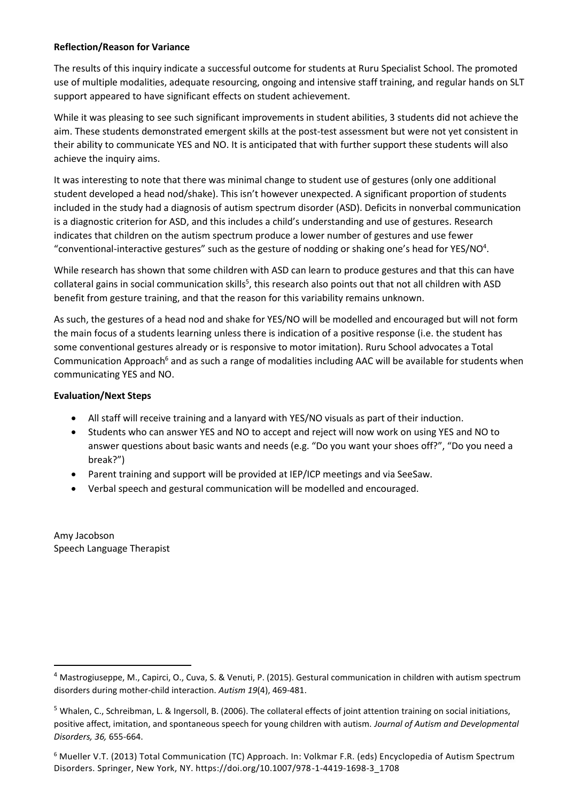## **Reflection/Reason for Variance**

The results of this inquiry indicate a successful outcome for students at Ruru Specialist School. The promoted use of multiple modalities, adequate resourcing, ongoing and intensive staff training, and regular hands on SLT support appeared to have significant effects on student achievement.

While it was pleasing to see such significant improvements in student abilities, 3 students did not achieve the aim. These students demonstrated emergent skills at the post-test assessment but were not yet consistent in their ability to communicate YES and NO. It is anticipated that with further support these students will also achieve the inquiry aims.

It was interesting to note that there was minimal change to student use of gestures (only one additional student developed a head nod/shake). This isn't however unexpected. A significant proportion of students included in the study had a diagnosis of autism spectrum disorder (ASD). Deficits in nonverbal communication is a diagnostic criterion for ASD, and this includes a child's understanding and use of gestures. Research indicates that children on the autism spectrum produce a lower number of gestures and use fewer "conventional-interactive gestures" such as the gesture of nodding or shaking one's head for YES/NO<sup>4</sup>.

While research has shown that some children with ASD can learn to produce gestures and that this can have collateral gains in social communication skills<sup>5</sup>, this research also points out that not all children with ASD benefit from gesture training, and that the reason for this variability remains unknown.

As such, the gestures of a head nod and shake for YES/NO will be modelled and encouraged but will not form the main focus of a students learning unless there is indication of a positive response (i.e. the student has some conventional gestures already or is responsive to motor imitation). Ruru School advocates a Total Communication Approach<sup>6</sup> and as such a range of modalities including AAC will be available for students when communicating YES and NO.

## **Evaluation/Next Steps**

- All staff will receive training and a lanyard with YES/NO visuals as part of their induction.
- Students who can answer YES and NO to accept and reject will now work on using YES and NO to answer questions about basic wants and needs (e.g. "Do you want your shoes off?", "Do you need a break?")
- Parent training and support will be provided at IEP/ICP meetings and via SeeSaw.
- Verbal speech and gestural communication will be modelled and encouraged.

Amy Jacobson Speech Language Therapist

<sup>4</sup> Mastrogiuseppe, M., Capirci, O., Cuva, S. & Venuti, P. (2015). Gestural communication in children with autism spectrum disorders during mother-child interaction. *Autism 19*(4), 469-481.

 $<sup>5</sup>$  Whalen, C., Schreibman, L. & Ingersoll, B. (2006). The collateral effects of joint attention training on social initiations,</sup> positive affect, imitation, and spontaneous speech for young children with autism. *Journal of Autism and Developmental Disorders, 36,* 655-664.

<sup>6</sup> Mueller V.T. (2013) Total Communication (TC) Approach. In: Volkmar F.R. (eds) Encyclopedia of Autism Spectrum Disorders. Springer, New York, NY. https://doi.org/10.1007/978-1-4419-1698-3\_1708